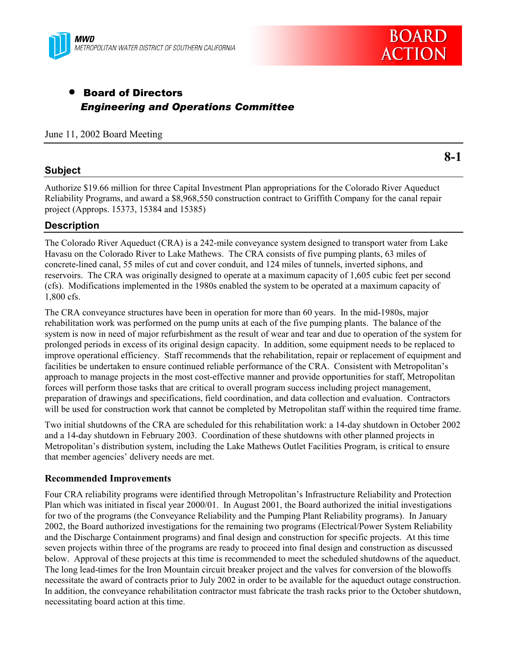



# • Board of Directors *Engineering and Operations Committee*

June 11, 2002 Board Meeting

### **Subject**

**8-1**

Authorize \$19.66 million for three Capital Investment Plan appropriations for the Colorado River Aqueduct Reliability Programs, and award a \$8,968,550 construction contract to Griffith Company for the canal repair project (Approps. 15373, 15384 and 15385)

### **Description**

The Colorado River Aqueduct (CRA) is a 242-mile conveyance system designed to transport water from Lake Havasu on the Colorado River to Lake Mathews. The CRA consists of five pumping plants, 63 miles of concrete-lined canal, 55 miles of cut and cover conduit, and 124 miles of tunnels, inverted siphons, and reservoirs. The CRA was originally designed to operate at a maximum capacity of 1,605 cubic feet per second (cfs). Modifications implemented in the 1980s enabled the system to be operated at a maximum capacity of 1,800 cfs.

The CRA conveyance structures have been in operation for more than 60 years. In the mid-1980s, major rehabilitation work was performed on the pump units at each of the five pumping plants. The balance of the system is now in need of major refurbishment as the result of wear and tear and due to operation of the system for prolonged periods in excess of its original design capacity. In addition, some equipment needs to be replaced to improve operational efficiency. Staff recommends that the rehabilitation, repair or replacement of equipment and facilities be undertaken to ensure continued reliable performance of the CRA. Consistent with Metropolitan's approach to manage projects in the most cost-effective manner and provide opportunities for staff, Metropolitan forces will perform those tasks that are critical to overall program success including project management, preparation of drawings and specifications, field coordination, and data collection and evaluation. Contractors will be used for construction work that cannot be completed by Metropolitan staff within the required time frame.

Two initial shutdowns of the CRA are scheduled for this rehabilitation work: a 14-day shutdown in October 2002 and a 14-day shutdown in February 2003. Coordination of these shutdowns with other planned projects in Metropolitan's distribution system, including the Lake Mathews Outlet Facilities Program, is critical to ensure that member agencies' delivery needs are met.

#### **Recommended Improvements**

Four CRA reliability programs were identified through Metropolitan's Infrastructure Reliability and Protection Plan which was initiated in fiscal year 2000/01. In August 2001, the Board authorized the initial investigations for two of the programs (the Conveyance Reliability and the Pumping Plant Reliability programs). In January 2002, the Board authorized investigations for the remaining two programs (Electrical/Power System Reliability and the Discharge Containment programs) and final design and construction for specific projects. At this time seven projects within three of the programs are ready to proceed into final design and construction as discussed below. Approval of these projects at this time is recommended to meet the scheduled shutdowns of the aqueduct. The long lead-times for the Iron Mountain circuit breaker project and the valves for conversion of the blowoffs necessitate the award of contracts prior to July 2002 in order to be available for the aqueduct outage construction. In addition, the conveyance rehabilitation contractor must fabricate the trash racks prior to the October shutdown, necessitating board action at this time.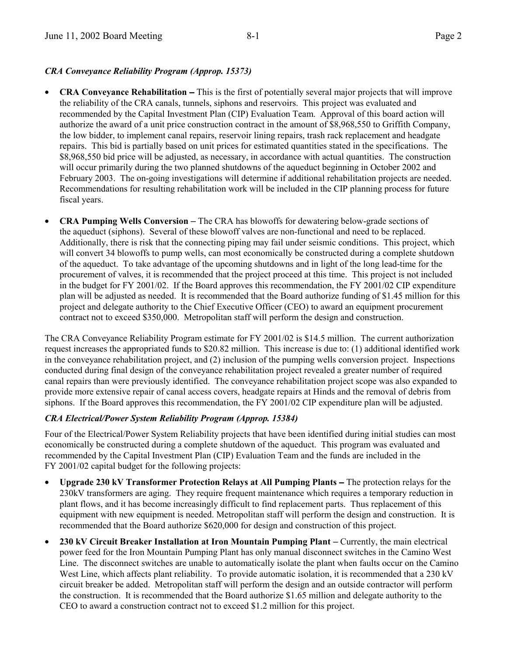#### *CRA Conveyance Reliability Program (Approp. 15373)*

- **CRA Conveyance Rehabilitation** − This is the first of potentially several major projects that will improve the reliability of the CRA canals, tunnels, siphons and reservoirs. This project was evaluated and recommended by the Capital Investment Plan (CIP) Evaluation Team. Approval of this board action will authorize the award of a unit price construction contract in the amount of \$8,968,550 to Griffith Company, the low bidder, to implement canal repairs, reservoir lining repairs, trash rack replacement and headgate repairs. This bid is partially based on unit prices for estimated quantities stated in the specifications. The \$8,968,550 bid price will be adjusted, as necessary, in accordance with actual quantities. The construction will occur primarily during the two planned shutdowns of the aqueduct beginning in October 2002 and February 2003. The on-going investigations will determine if additional rehabilitation projects are needed. Recommendations for resulting rehabilitation work will be included in the CIP planning process for future fiscal years.
- **CRA Pumping Wells Conversion** − The CRA has blowoffs for dewatering below-grade sections of the aqueduct (siphons). Several of these blowoff valves are non-functional and need to be replaced. Additionally, there is risk that the connecting piping may fail under seismic conditions. This project, which will convert 34 blowoffs to pump wells, can most economically be constructed during a complete shutdown of the aqueduct. To take advantage of the upcoming shutdowns and in light of the long lead-time for the procurement of valves, it is recommended that the project proceed at this time. This project is not included in the budget for FY 2001/02. If the Board approves this recommendation, the FY 2001/02 CIP expenditure plan will be adjusted as needed. It is recommended that the Board authorize funding of \$1.45 million for this project and delegate authority to the Chief Executive Officer (CEO) to award an equipment procurement contract not to exceed \$350,000. Metropolitan staff will perform the design and construction.

The CRA Conveyance Reliability Program estimate for FY 2001/02 is \$14.5 million. The current authorization request increases the appropriated funds to \$20.82 million. This increase is due to: (1) additional identified work in the conveyance rehabilitation project, and (2) inclusion of the pumping wells conversion project. Inspections conducted during final design of the conveyance rehabilitation project revealed a greater number of required canal repairs than were previously identified. The conveyance rehabilitation project scope was also expanded to provide more extensive repair of canal access covers, headgate repairs at Hinds and the removal of debris from siphons. If the Board approves this recommendation, the FY 2001/02 CIP expenditure plan will be adjusted.

#### *CRA Electrical/Power System Reliability Program (Approp. 15384)*

Four of the Electrical/Power System Reliability projects that have been identified during initial studies can most economically be constructed during a complete shutdown of the aqueduct. This program was evaluated and recommended by the Capital Investment Plan (CIP) Evaluation Team and the funds are included in the FY 2001/02 capital budget for the following projects:

- **Upgrade 230 kV Transformer Protection Relays at All Pumping Plants** − The protection relays for the 230kV transformers are aging. They require frequent maintenance which requires a temporary reduction in plant flows, and it has become increasingly difficult to find replacement parts. Thus replacement of this equipment with new equipment is needed. Metropolitan staff will perform the design and construction. It is recommended that the Board authorize \$620,000 for design and construction of this project.
- **230 kV Circuit Breaker Installation at Iron Mountain Pumping Plant** − Currently, the main electrical power feed for the Iron Mountain Pumping Plant has only manual disconnect switches in the Camino West Line. The disconnect switches are unable to automatically isolate the plant when faults occur on the Camino West Line, which affects plant reliability. To provide automatic isolation, it is recommended that a 230 kV circuit breaker be added. Metropolitan staff will perform the design and an outside contractor will perform the construction. It is recommended that the Board authorize \$1.65 million and delegate authority to the CEO to award a construction contract not to exceed \$1.2 million for this project.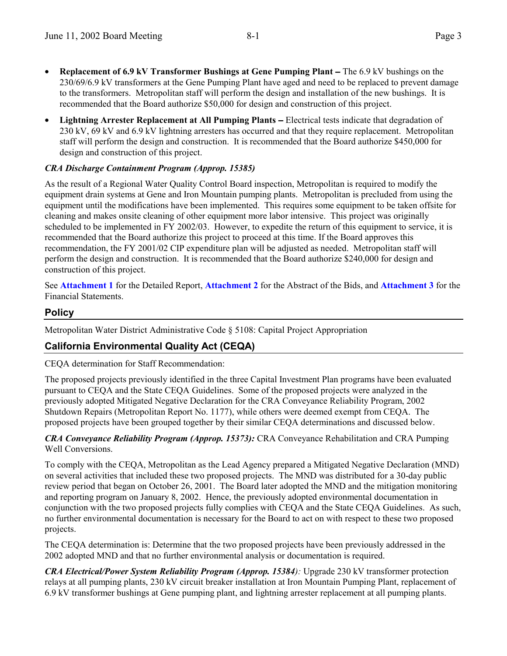- **Replacement of 6.9 kV Transformer Bushings at Gene Pumping Plant** − The 6.9 kV bushings on the 230/69/6.9 kV transformers at the Gene Pumping Plant have aged and need to be replaced to prevent damage to the transformers. Metropolitan staff will perform the design and installation of the new bushings. It is recommended that the Board authorize \$50,000 for design and construction of this project.
- **Lightning Arrester Replacement at All Pumping Plants** − Electrical tests indicate that degradation of 230 kV, 69 kV and 6.9 kV lightning arresters has occurred and that they require replacement. Metropolitan staff will perform the design and construction. It is recommended that the Board authorize \$450,000 for design and construction of this project.

### *CRA Discharge Containment Program (Approp. 15385)*

As the result of a Regional Water Quality Control Board inspection, Metropolitan is required to modify the equipment drain systems at Gene and Iron Mountain pumping plants. Metropolitan is precluded from using the equipment until the modifications have been implemented. This requires some equipment to be taken offsite for cleaning and makes onsite cleaning of other equipment more labor intensive. This project was originally scheduled to be implemented in FY 2002/03. However, to expedite the return of this equipment to service, it is recommended that the Board authorize this project to proceed at this time. If the Board approves this recommendation, the FY 2001/02 CIP expenditure plan will be adjusted as needed.Metropolitan staff will perform the design and construction. It is recommended that the Board authorize \$240,000 for design and construction of this project.

See **Attachment 1** for the Detailed Report, **Attachment 2** for the Abstract of the Bids, and **Attachment 3** for the Financial Statements.

### **Policy**

Metropolitan Water District Administrative Code § 5108: Capital Project Appropriation

# **California Environmental Quality Act (CEQA)**

CEQA determination for Staff Recommendation:

The proposed projects previously identified in the three Capital Investment Plan programs have been evaluated pursuant to CEQA and the State CEQA Guidelines. Some of the proposed projects were analyzed in the previously adopted Mitigated Negative Declaration for the CRA Conveyance Reliability Program, 2002 Shutdown Repairs (Metropolitan Report No. 1177), while others were deemed exempt from CEQA. The proposed projects have been grouped together by their similar CEQA determinations and discussed below.

#### *CRA Conveyance Reliability Program (Approp. 15373):* CRA Conveyance Rehabilitation and CRA Pumping Well Conversions.

To comply with the CEQA, Metropolitan as the Lead Agency prepared a Mitigated Negative Declaration (MND) on several activities that included these two proposed projects. The MND was distributed for a 30-day public review period that began on October 26, 2001. The Board later adopted the MND and the mitigation monitoring and reporting program on January 8, 2002. Hence, the previously adopted environmental documentation in conjunction with the two proposed projects fully complies with CEQA and the State CEQA Guidelines. As such, no further environmental documentation is necessary for the Board to act on with respect to these two proposed projects.

The CEQA determination is: Determine that the two proposed projects have been previously addressed in the 2002 adopted MND and that no further environmental analysis or documentation is required.

*CRA Electrical/Power System Reliability Program (Approp. 15384):* Upgrade 230 kV transformer protection relays at all pumping plants, 230 kV circuit breaker installation at Iron Mountain Pumping Plant, replacement of 6.9 kV transformer bushings at Gene pumping plant, and lightning arrester replacement at all pumping plants.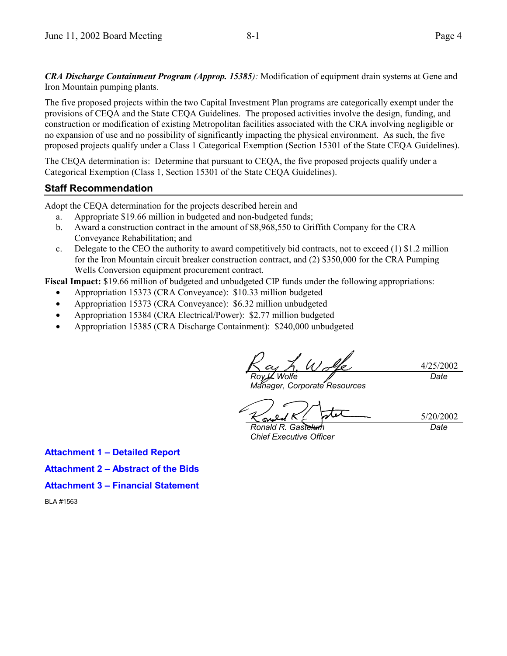*CRA Discharge Containment Program (Approp. 15385):* Modification of equipment drain systems at Gene and Iron Mountain pumping plants.

The five proposed projects within the two Capital Investment Plan programs are categorically exempt under the provisions of CEQA and the State CEQA Guidelines. The proposed activities involve the design, funding, and construction or modification of existing Metropolitan facilities associated with the CRA involving negligible or no expansion of use and no possibility of significantly impacting the physical environment. As such, the five proposed projects qualify under a Class 1 Categorical Exemption (Section 15301 of the State CEQA Guidelines).

The CEQA determination is: Determine that pursuant to CEQA, the five proposed projects qualify under a Categorical Exemption (Class 1, Section 15301 of the State CEQA Guidelines).

### **Staff Recommendation**

Adopt the CEQA determination for the projects described herein and

- a. Appropriate \$19.66 million in budgeted and non-budgeted funds;
- b. Award a construction contract in the amount of \$8,968,550 to Griffith Company for the CRA Conveyance Rehabilitation; and
- c. Delegate to the CEO the authority to award competitively bid contracts, not to exceed  $(1)$  \$1.2 million for the Iron Mountain circuit breaker construction contract, and (2) \$350,000 for the CRA Pumping Wells Conversion equipment procurement contract.

**Fiscal Impact:** \$19.66 million of budgeted and unbudgeted CIP funds under the following appropriations:

- Appropriation 15373 (CRA Conveyance): \$10.33 million budgeted
- Appropriation 15373 (CRA Conveyance): \$6.32 million unbudgeted
- Appropriation 15384 (CRA Electrical/Power): \$2.77 million budgeted
- Appropriation 15385 (CRA Discharge Containment): \$240,000 unbudgeted

4/25/2002 *Roy L. Wolfe Date*

*Manager, Corporate Resources*

5/20/2002

*Ronald R. Gastelum Chief Executive Officer*

*Date*

**Attachment 1 – Detailed Report**

**Attachment 2 – Abstract of the Bids**

**Attachment 3 – Financial Statement**

BLA #1563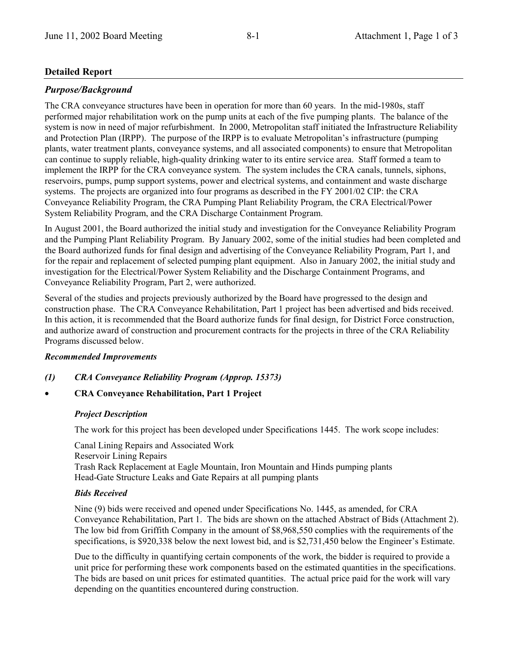### **Detailed Report**

#### *Purpose/Background*

The CRA conveyance structures have been in operation for more than 60 years. In the mid-1980s, staff performed major rehabilitation work on the pump units at each of the five pumping plants. The balance of the system is now in need of major refurbishment. In 2000, Metropolitan staff initiated the Infrastructure Reliability and Protection Plan (IRPP). The purpose of the IRPP is to evaluate Metropolitan's infrastructure (pumping plants, water treatment plants, conveyance systems, and all associated components) to ensure that Metropolitan can continue to supply reliable, high-quality drinking water to its entire service area. Staff formed a team to implement the IRPP for the CRA conveyance system. The system includes the CRA canals, tunnels, siphons, reservoirs, pumps, pump support systems, power and electrical systems, and containment and waste discharge systems. The projects are organized into four programs as described in the FY 2001/02 CIP: the CRA Conveyance Reliability Program, the CRA Pumping Plant Reliability Program, the CRA Electrical/Power System Reliability Program, and the CRA Discharge Containment Program.

In August 2001, the Board authorized the initial study and investigation for the Conveyance Reliability Program and the Pumping Plant Reliability Program. By January 2002, some of the initial studies had been completed and the Board authorized funds for final design and advertising of the Conveyance Reliability Program, Part 1, and for the repair and replacement of selected pumping plant equipment. Also in January 2002, the initial study and investigation for the Electrical/Power System Reliability and the Discharge Containment Programs, and Conveyance Reliability Program, Part 2, were authorized.

Several of the studies and projects previously authorized by the Board have progressed to the design and construction phase. The CRA Conveyance Rehabilitation, Part 1 project has been advertised and bids received. In this action, it is recommended that the Board authorize funds for final design, for District Force construction, and authorize award of construction and procurement contracts for the projects in three of the CRA Reliability Programs discussed below.

#### *Recommended Improvements*

- *(1) CRA Conveyance Reliability Program (Approp. 15373)*
- **CRA Conveyance Rehabilitation, Part 1 Project**

#### *Project Description*

The work for this project has been developed under Specifications 1445. The work scope includes:

Canal Lining Repairs and Associated Work Reservoir Lining Repairs Trash Rack Replacement at Eagle Mountain, Iron Mountain and Hinds pumping plants Head-Gate Structure Leaks and Gate Repairs at all pumping plants

#### *Bids Received*

Nine (9) bids were received and opened under Specifications No. 1445, as amended, for CRA Conveyance Rehabilitation, Part 1. The bids are shown on the attached Abstract of Bids (Attachment 2). The low bid from Griffith Company in the amount of \$8,968,550 complies with the requirements of the specifications, is \$920,338 below the next lowest bid, and is \$2,731,450 below the Engineer's Estimate.

Due to the difficulty in quantifying certain components of the work, the bidder is required to provide a unit price for performing these work components based on the estimated quantities in the specifications. The bids are based on unit prices for estimated quantities. The actual price paid for the work will vary depending on the quantities encountered during construction.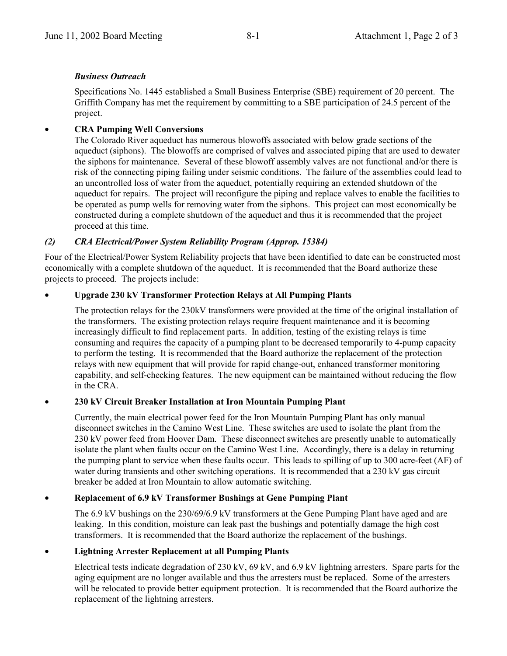#### *Business Outreach*

Specifications No. 1445 established a Small Business Enterprise (SBE) requirement of 20 percent. The Griffith Company has met the requirement by committing to a SBE participation of 24.5 percent of the project.

### • **CRA Pumping Well Conversions**

The Colorado River aqueduct has numerous blowoffs associated with below grade sections of the aqueduct (siphons). The blowoffs are comprised of valves and associated piping that are used to dewater the siphons for maintenance. Several of these blowoff assembly valves are not functional and/or there is risk of the connecting piping failing under seismic conditions. The failure of the assemblies could lead to an uncontrolled loss of water from the aqueduct, potentially requiring an extended shutdown of the aqueduct for repairs. The project will reconfigure the piping and replace valves to enable the facilities to be operated as pump wells for removing water from the siphons. This project can most economically be constructed during a complete shutdown of the aqueduct and thus it is recommended that the project proceed at this time.

### *(2) CRA Electrical/Power System Reliability Program (Approp. 15384)*

Four of the Electrical/Power System Reliability projects that have been identified to date can be constructed most economically with a complete shutdown of the aqueduct. It is recommended that the Board authorize these projects to proceed. The projects include:

#### • **Upgrade 230 kV Transformer Protection Relays at All Pumping Plants**

The protection relays for the 230kV transformers were provided at the time of the original installation of the transformers. The existing protection relays require frequent maintenance and it is becoming increasingly difficult to find replacement parts. In addition, testing of the existing relays is time consuming and requires the capacity of a pumping plant to be decreased temporarily to 4-pump capacity to perform the testing. It is recommended that the Board authorize the replacement of the protection relays with new equipment that will provide for rapid change-out, enhanced transformer monitoring capability, and self-checking features. The new equipment can be maintained without reducing the flow in the CRA.

#### • **230 kV Circuit Breaker Installation at Iron Mountain Pumping Plant**

Currently, the main electrical power feed for the Iron Mountain Pumping Plant has only manual disconnect switches in the Camino West Line. These switches are used to isolate the plant from the 230 kV power feed from Hoover Dam. These disconnect switches are presently unable to automatically isolate the plant when faults occur on the Camino West Line. Accordingly, there is a delay in returning the pumping plant to service when these faults occur. This leads to spilling of up to 300 acre-feet (AF) of water during transients and other switching operations. It is recommended that a 230 kV gas circuit breaker be added at Iron Mountain to allow automatic switching.

#### • **Replacement of 6.9 kV Transformer Bushings at Gene Pumping Plant**

The 6.9 kV bushings on the 230/69/6.9 kV transformers at the Gene Pumping Plant have aged and are leaking. In this condition, moisture can leak past the bushings and potentially damage the high cost transformers. It is recommended that the Board authorize the replacement of the bushings.

#### • **Lightning Arrester Replacement at all Pumping Plants**

Electrical tests indicate degradation of 230 kV, 69 kV, and 6.9 kV lightning arresters. Spare parts for the aging equipment are no longer available and thus the arresters must be replaced. Some of the arresters will be relocated to provide better equipment protection. It is recommended that the Board authorize the replacement of the lightning arresters.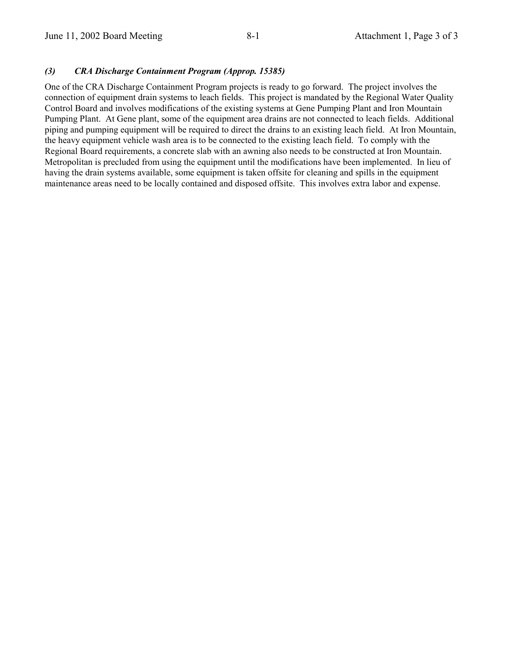#### *(3) CRA Discharge Containment Program (Approp. 15385)*

One of the CRA Discharge Containment Program projects is ready to go forward. The project involves the connection of equipment drain systems to leach fields. This project is mandated by the Regional Water Quality Control Board and involves modifications of the existing systems at Gene Pumping Plant and Iron Mountain Pumping Plant. At Gene plant, some of the equipment area drains are not connected to leach fields. Additional piping and pumping equipment will be required to direct the drains to an existing leach field. At Iron Mountain, the heavy equipment vehicle wash area is to be connected to the existing leach field. To comply with the Regional Board requirements, a concrete slab with an awning also needs to be constructed at Iron Mountain. Metropolitan is precluded from using the equipment until the modifications have been implemented. In lieu of having the drain systems available, some equipment is taken offsite for cleaning and spills in the equipment maintenance areas need to be locally contained and disposed offsite. This involves extra labor and expense.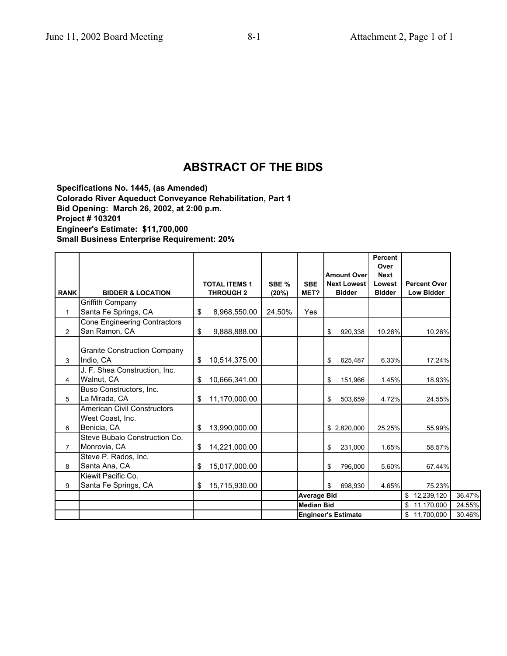# **ABSTRACT OF THE BIDS**

**Specifications No. 1445, (as Amended) Colorado River Aqueduct Conveyance Rehabilitation, Part 1 Bid Opening: March 26, 2002, at 2:00 p.m. Project # 103201 Engineer's Estimate: \$11,700,000 Small Business Enterprise Requirement: 20%**

|                |                                                                       |                                          |                |                                         | <b>Amount Over</b>                  | <b>Percent</b><br>Over<br><b>Next</b> |                                          |                  |
|----------------|-----------------------------------------------------------------------|------------------------------------------|----------------|-----------------------------------------|-------------------------------------|---------------------------------------|------------------------------------------|------------------|
| <b>RANK</b>    | <b>BIDDER &amp; LOCATION</b>                                          | <b>TOTAL ITEMS 1</b><br><b>THROUGH 2</b> | SBE %<br>(20%) | <b>SBE</b><br>MET?                      | <b>Next Lowest</b><br><b>Bidder</b> | Lowest<br><b>Bidder</b>               | <b>Percent Over</b><br><b>Low Bidder</b> |                  |
| 1              | Griffith Company<br>Santa Fe Springs, CA                              | \$<br>8,968,550.00                       | 24.50%         | Yes                                     |                                     |                                       |                                          |                  |
| $\overline{c}$ | Cone Engineering Contractors<br>San Ramon, CA                         | \$<br>9,888,888.00                       |                |                                         | \$<br>920,338                       | 10.26%                                | 10.26%                                   |                  |
| 3              | <b>Granite Construction Company</b><br>Indio, CA                      | \$<br>10,514,375.00                      |                |                                         | \$<br>625,487                       | 6.33%                                 | 17.24%                                   |                  |
| 4              | J. F. Shea Construction, Inc.<br>Walnut, CA                           | \$<br>10,666,341.00                      |                |                                         | \$<br>151,966                       | 1.45%                                 | 18.93%                                   |                  |
| 5              | Buso Constructors, Inc.<br>La Mirada, CA                              | \$<br>11,170,000.00                      |                |                                         | \$<br>503,659                       | 4.72%                                 | 24.55%                                   |                  |
| 6              | <b>American Civil Constructors</b><br>West Coast, Inc.<br>Benicia, CA | \$<br>13,990,000.00                      |                |                                         | \$2,820,000                         | 25.25%                                | 55.99%                                   |                  |
| $\overline{7}$ | Steve Bubalo Construction Co.<br>Monrovia, CA                         | \$<br>14,221,000.00                      |                |                                         | \$<br>231,000                       | 1.65%                                 | 58.57%                                   |                  |
| 8              | Steve P. Rados, Inc.<br>Santa Ana, CA                                 | \$<br>15,017,000.00                      |                |                                         | \$<br>796,000                       | 5.60%                                 | 67.44%                                   |                  |
| 9              | Kiewit Pacific Co.<br>Santa Fe Springs, CA                            | \$<br>15,715,930.00                      |                |                                         | \$<br>698.930                       | 4.65%                                 | 75.23%                                   |                  |
|                |                                                                       |                                          |                | <b>Average Bid</b><br><b>Median Bid</b> |                                     |                                       | 12,239,120<br>\$<br>11,170,000<br>\$     | 36.47%<br>24.55% |
|                |                                                                       |                                          |                |                                         | <b>Engineer's Estimate</b>          |                                       | \$11,700,000                             | 30.46%           |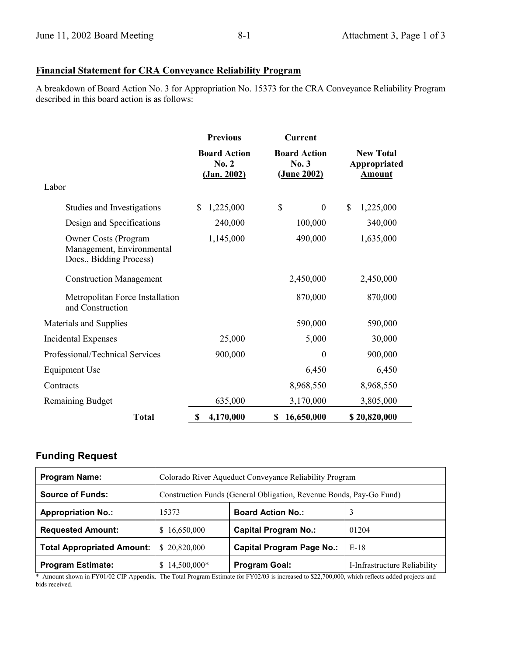# **Financial Statement for CRA Conveyance Reliability Program**

A breakdown of Board Action No. 3 for Appropriation No. 15373 for the CRA Conveyance Reliability Program described in this board action is as follows:

|                                                                                     | <b>Previous</b>                             | <b>Current</b>                             |                                                   |  |
|-------------------------------------------------------------------------------------|---------------------------------------------|--------------------------------------------|---------------------------------------------------|--|
|                                                                                     | <b>Board Action</b><br>No. 2<br>(Jan. 2002) | <b>Board Action</b><br>No.3<br>(June 2002) | <b>New Total</b><br>Appropriated<br><b>Amount</b> |  |
| Labor                                                                               |                                             |                                            |                                                   |  |
| Studies and Investigations                                                          | 1,225,000<br>S                              | \$<br>$\boldsymbol{0}$                     | \$<br>1,225,000                                   |  |
| Design and Specifications                                                           | 240,000                                     | 100,000                                    | 340,000                                           |  |
| <b>Owner Costs (Program</b><br>Management, Environmental<br>Docs., Bidding Process) | 1,145,000                                   | 490,000                                    | 1,635,000                                         |  |
| <b>Construction Management</b>                                                      |                                             | 2,450,000                                  | 2,450,000                                         |  |
| Metropolitan Force Installation<br>and Construction                                 |                                             | 870,000                                    | 870,000                                           |  |
| Materials and Supplies                                                              |                                             | 590,000                                    | 590,000                                           |  |
| Incidental Expenses                                                                 | 25,000                                      | 5,000                                      | 30,000                                            |  |
| Professional/Technical Services                                                     | 900,000                                     | $\theta$                                   | 900,000                                           |  |
| <b>Equipment Use</b>                                                                |                                             | 6,450                                      | 6,450                                             |  |
| Contracts                                                                           |                                             | 8,968,550                                  | 8,968,550                                         |  |
| <b>Remaining Budget</b>                                                             | 635,000                                     | 3,170,000                                  | 3,805,000                                         |  |
| <b>Total</b>                                                                        | 4,170,000<br>\$                             | 16,650,000<br>\$                           | \$20,820,000                                      |  |

# **Funding Request**

| <b>Program Name:</b>              | Colorado River Aqueduct Conveyance Reliability Program              |                                  |                              |  |
|-----------------------------------|---------------------------------------------------------------------|----------------------------------|------------------------------|--|
| <b>Source of Funds:</b>           | Construction Funds (General Obligation, Revenue Bonds, Pay-Go Fund) |                                  |                              |  |
| <b>Appropriation No.:</b>         | 15373                                                               | <b>Board Action No.:</b>         |                              |  |
| <b>Requested Amount:</b>          | \$16,650,000                                                        | <b>Capital Program No.:</b>      | 01204                        |  |
| <b>Total Appropriated Amount:</b> | \$20,820,000                                                        | <b>Capital Program Page No.:</b> | $E-18$                       |  |
| <b>Program Estimate:</b>          | 14,500,000*                                                         | <b>Program Goal:</b>             | I-Infrastructure Reliability |  |

\* Amount shown in FY01/02 CIP Appendix. The Total Program Estimate for FY02/03 is increased to \$22,700,000, which reflects added projects and bids received.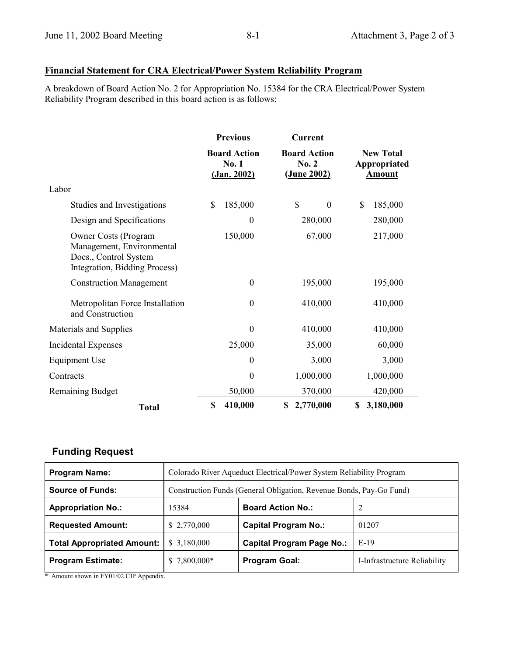# **Financial Statement for CRA Electrical/Power System Reliability Program**

A breakdown of Board Action No. 2 for Appropriation No. 15384 for the CRA Electrical/Power System Reliability Program described in this board action is as follows:

|                                                                                                             | <b>Previous</b>                                    | <b>Current</b>                              |                                                   |  |
|-------------------------------------------------------------------------------------------------------------|----------------------------------------------------|---------------------------------------------|---------------------------------------------------|--|
|                                                                                                             | <b>Board Action</b><br>No. 1<br><u>(Jan. 2002)</u> | <b>Board Action</b><br>No. 2<br>(June 2002) | <b>New Total</b><br>Appropriated<br><b>Amount</b> |  |
| Labor                                                                                                       |                                                    |                                             |                                                   |  |
| Studies and Investigations                                                                                  | \$<br>185,000                                      | \$<br>$\mathbf{0}$                          | \$<br>185,000                                     |  |
| Design and Specifications                                                                                   | $\boldsymbol{0}$                                   | 280,000                                     | 280,000                                           |  |
| Owner Costs (Program<br>Management, Environmental<br>Docs., Control System<br>Integration, Bidding Process) | 150,000                                            | 67,000                                      | 217,000                                           |  |
| <b>Construction Management</b>                                                                              | $\boldsymbol{0}$                                   | 195,000                                     | 195,000                                           |  |
| Metropolitan Force Installation<br>and Construction                                                         | $\boldsymbol{0}$                                   | 410,000                                     | 410,000                                           |  |
| Materials and Supplies                                                                                      | $\theta$                                           | 410,000                                     | 410,000                                           |  |
| <b>Incidental Expenses</b>                                                                                  | 25,000                                             | 35,000                                      | 60,000                                            |  |
| Equipment Use                                                                                               | $\boldsymbol{0}$                                   | 3,000                                       | 3,000                                             |  |
| Contracts                                                                                                   | $\overline{0}$                                     | 1,000,000                                   | 1,000,000                                         |  |
| <b>Remaining Budget</b>                                                                                     | 50,000                                             | 370,000                                     | 420,000                                           |  |
| <b>Total</b>                                                                                                | \$<br>410,000                                      | 2,770,000<br>\$                             | 3,180,000<br>\$                                   |  |

# **Funding Request**

| <b>Program Name:</b>              | Colorado River Aqueduct Electrical/Power System Reliability Program |                                  |                              |  |
|-----------------------------------|---------------------------------------------------------------------|----------------------------------|------------------------------|--|
| <b>Source of Funds:</b>           | Construction Funds (General Obligation, Revenue Bonds, Pay-Go Fund) |                                  |                              |  |
| <b>Appropriation No.:</b>         | 15384                                                               | <b>Board Action No.:</b>         |                              |  |
| <b>Requested Amount:</b>          | \$2,770,000                                                         | <b>Capital Program No.:</b>      | 01207                        |  |
| <b>Total Appropriated Amount:</b> | \$3,180,000                                                         | <b>Capital Program Page No.:</b> | $E-19$                       |  |
| <b>Program Estimate:</b>          | 7,800,000*                                                          | <b>Program Goal:</b>             | I-Infrastructure Reliability |  |

\* Amount shown in FY01/02 CIP Appendix.